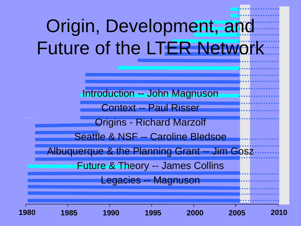# Origin, Development, and Future of the LTER Network

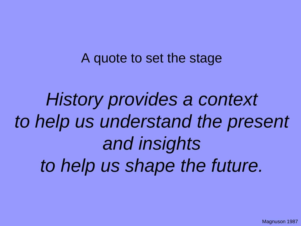#### A quote to set the stage

*History provides a context to help us understand the present and insights to help us shape the future.*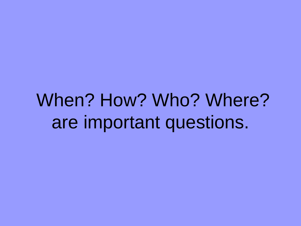### When? How? Who? Where? are important questions.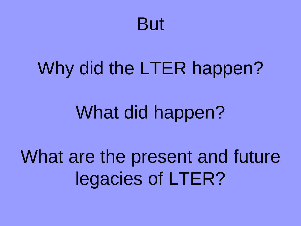#### But

#### Why did the LTER happen?

#### What did happen?

## What are the present and future legacies of LTER?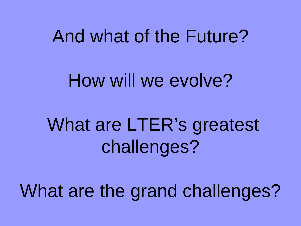#### And what of the Future?

#### How will we evolve?

## What are LTER's greatest challenges?

## What are the grand challenges?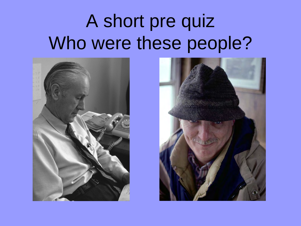### A short pre quiz Who were these people?



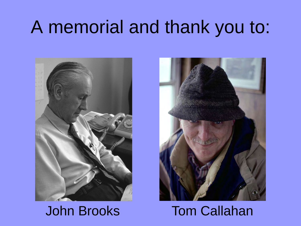#### A memorial and thank you to:





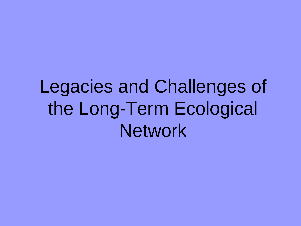Legacies and Challenges of the Long-Term Ecological **Network**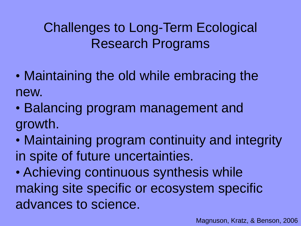#### Challenges to Long-Term Ecological Research Programs

- Maintaining the old while embracing the new.
- Balancing program management and growth.
- Maintaining program continuity and integrity in spite of future uncertainties.
- Achieving continuous synthesis while making site specific or ecosystem specific advances to science.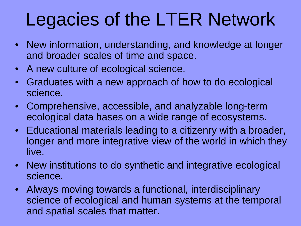## Legacies of the LTER Network

- New information, understanding, and knowledge at longer and broader scales of time and space.
- A new culture of ecological science.
- Graduates with a new approach of how to do ecological science.
- Comprehensive, accessible, and analyzable long-term ecological data bases on a wide range of ecosystems.
- Educational materials leading to a citizenry with a broader, longer and more integrative view of the world in which they live.
- New institutions to do synthetic and integrative ecological science.
- Always moving towards a functional, interdisciplinary science of ecological and human systems at the temporal and spatial scales that matter.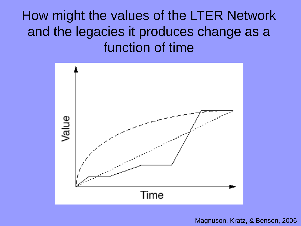How might the values of the LTER Network and the legacies it produces change as a function of time



Magnuson, Kratz, & Benson, 2006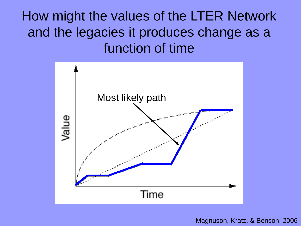How might the values of the LTER Network and the legacies it produces change as a function of time



Magnuson, Kratz, & Benson, 2006